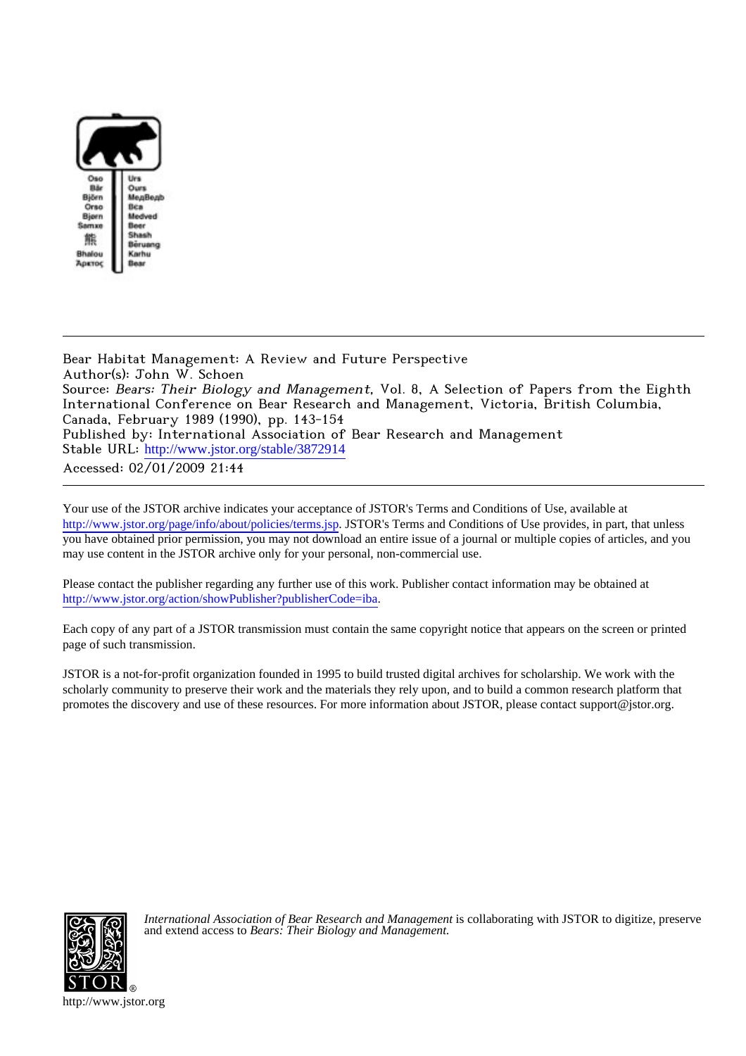

Bear Habitat Management: A Review and Future Perspective Author(s): John W. Schoen Source: Bears: Their Biology and Management, Vol. 8, A Selection of Papers from the Eighth International Conference on Bear Research and Management, Victoria, British Columbia, Canada, February 1989 (1990), pp. 143-154 Published by: International Association of Bear Research and Management Stable URL: [http://www.jstor.org/stable/3872914](http://www.jstor.org/stable/3872914?origin=JSTOR-pdf) Accessed: 02/01/2009 21:44

Your use of the JSTOR archive indicates your acceptance of JSTOR's Terms and Conditions of Use, available at <http://www.jstor.org/page/info/about/policies/terms.jsp>. JSTOR's Terms and Conditions of Use provides, in part, that unless you have obtained prior permission, you may not download an entire issue of a journal or multiple copies of articles, and you may use content in the JSTOR archive only for your personal, non-commercial use.

Please contact the publisher regarding any further use of this work. Publisher contact information may be obtained at <http://www.jstor.org/action/showPublisher?publisherCode=iba>.

Each copy of any part of a JSTOR transmission must contain the same copyright notice that appears on the screen or printed page of such transmission.

JSTOR is a not-for-profit organization founded in 1995 to build trusted digital archives for scholarship. We work with the scholarly community to preserve their work and the materials they rely upon, and to build a common research platform that promotes the discovery and use of these resources. For more information about JSTOR, please contact support@jstor.org.



*International Association of Bear Research and Management* is collaborating with JSTOR to digitize, preserve and extend access to *Bears: Their Biology and Management.*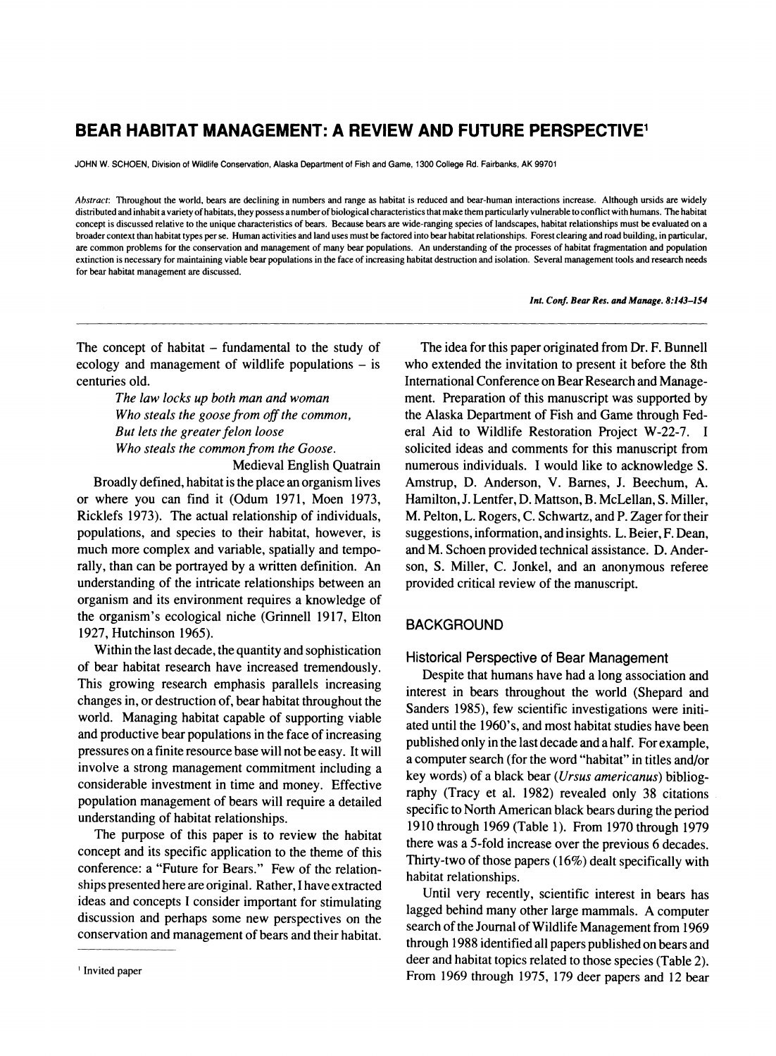# **BEAR HABITAT MANAGEMENT: A REVIEW AND FUTURE PERSPECTIVE1**

**JOHN W. SCHOEN, Division of Wildlife Conservation, Alaska Department of Fish and Game, 1300 College Rd. Fairbanks, AK 99701** 

**Abstract: Throughout the world, bears are declining in numbers and range as habitat is reduced and bear-human interactions increase. Although ursids are widely**  distributed and inhabit a variety of habitats, they possess a number of biological characteristics that make them particularly vulnerable to conflict with humans. The habitat **concept is discussed relative to the unique characteristics of bears. Because bears are wide-ranging species of landscapes, habitat relationships must be evaluated on a broader context than habitat types per se. Human activities and land uses must be factored into bear habitat relationships. Forest clearing and road building, in particular,**  are common problems for the conservation and management of many bear populations. An understanding of the processes of habitat fragmentation and population **extinction is necessary for maintaining viable bear populations in the face of increasing habitat destruction and isolation. Several management tools and research needs for bear habitat management are discussed.** 

**Int. Conf. Bear Res. and Manage. 8:143-154** 

**The concept of habitat - fundamental to the study of ecology and management of wildlife populations - is centuries old.** 

> **The law locks up both man and woman Who steals the goose from off the common, But lets the greater felon loose Who steals the common from the Goose.**

> > **Medieval English Quatrain**

**Broadly defined, habitat is the place an organism lives or where you can find it (Odum 1971, Moen 1973, Ricklefs 1973). The actual relationship of individuals, populations, and species to their habitat, however, is much more complex and variable, spatially and temporally, than can be portrayed by a written definition. An understanding of the intricate relationships between an organism and its environment requires a knowledge of the organism's ecological niche (Grinnell 1917, Elton 1927, Hutchinson 1965).** 

**Within the last decade, the quantity and sophistication of bear habitat research have increased tremendously. This growing research emphasis parallels increasing changes in, or destruction of, bear habitat throughout the world. Managing habitat capable of supporting viable and productive bear populations in the face of increasing pressures on a finite resource base will not be easy. It will involve a strong management commitment including a considerable investment in time and money. Effective population management of bears will require a detailed understanding of habitat relationships.** 

**The purpose of this paper is to review the habitat concept and its specific application to the theme of this conference: a "Future for Bears." Few of the relationships presented here are original. Rather, I have extracted ideas and concepts I consider important for stimulating discussion and perhaps some new perspectives on the conservation and management of bears and their habitat.** 

**The idea for this paper originated from Dr. F. Bunnell who extended the invitation to present it before the 8th International Conference on Bear Research and Management. Preparation of this manuscript was supported by the Alaska Department of Fish and Game through Federal Aid to Wildlife Restoration Project W-22-7. I solicited ideas and comments for this manuscript from numerous individuals. I would like to acknowledge S. Amstrup, D. Anderson, V. Barnes, J. Beechum, A. Hamilton, J. Lentfer, D. Mattson, B. McLellan, S. Miller, M. Pelton, L. Rogers, C. Schwartz, and P. Zager for their suggestions, information, and insights. L. Beier, F. Dean, and M. Schoen provided technical assistance. D. Anderson, S. Miller, C. Jonkel, and an anonymous referee provided critical review of the manuscript.** 

## **BACKGROUND**

**Historical Perspective of Bear Management** 

**Despite that humans have had a long association and interest in bears throughout the world (Shepard and Sanders 1985), few scientific investigations were initiated until the 1960's, and most habitat studies have been published only in the last decade and a half. For example, a computer search (for the word "habitat" in titles and/or key words) of a black bear (Ursus americanus) bibliography (Tracy et al. 1982) revealed only 38 citations specific to North American black bears during the period 1910 through 1969 (Table 1). From 1970 through 1979 there was a 5-fold increase over the previous 6 decades. Thirty-two of those papers (16%) dealt specifically with habitat relationships.** 

**Until very recently, scientific interest in bears has lagged behind many other large mammals. A computer search of the Journal of Wildlife Management from 1969 through 1988 identified all papers published on bears and deer and habitat topics related to those species (Table 2). From 1969 through 1975, 179 deer papers and 12 bear** 

**<sup>&#</sup>x27;Invited paper**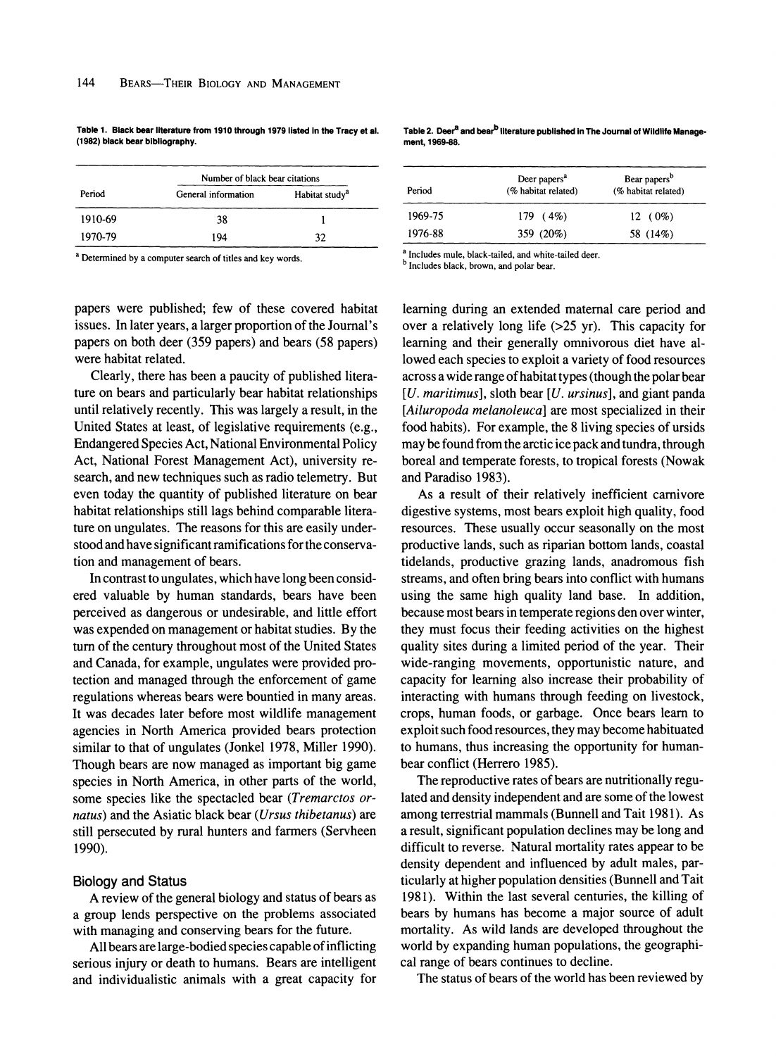**Table 1. Black bear literature from 1910 through 1979 listed in the Tracy et al. (1982) black bear bibliography.** 

| Period  | Number of black bear citations |                            |
|---------|--------------------------------|----------------------------|
|         | General information            | Habitat study <sup>a</sup> |
| 1910-69 | 38                             |                            |
| 1970-79 | 194                            | 32                         |

**a Determined by a computer search of titles and key words.** 

**papers were published; few of these covered habitat issues. In later years, a larger proportion of the Journal's papers on both deer (359 papers) and bears (58 papers) were habitat related.** 

**Clearly, there has been a paucity of published literature on bears and particularly bear habitat relationships until relatively recently. This was largely a result, in the United States at least, of legislative requirements (e.g., Endangered Species Act, National Environmental Policy Act, National Forest Management Act), university research, and new techniques such as radio telemetry. But even today the quantity of published literature on bear habitat relationships still lags behind comparable literature on ungulates. The reasons for this are easily understood and have significant ramifications for the conservation and management of bears.** 

**In contrast to ungulates, which have long been considered valuable by human standards, bears have been perceived as dangerous or undesirable, and little effort was expended on management or habitat studies. By the turn of the century throughout most of the United States and Canada, for example, ungulates were provided protection and managed through the enforcement of game regulations whereas bears were bountied in many areas. It was decades later before most wildlife management agencies in North America provided bears protection similar to that of ungulates (Jonkel 1978, Miller 1990). Though bears are now managed as important big game species in North America, in other parts of the world, some species like the spectacled bear (Tremarctos ornatus) and the Asiatic black bear (Ursus thibetanus) are still persecuted by rural hunters and farmers (Servheen 1990).** 

#### **Biology and Status**

**A review of the general biology and status of bears as a group lends perspective on the problems associated with managing and conserving bears for the future.** 

**All bears are large-bodied species capable of inflicting serious injury or death to humans. Bears are intelligent and individualistic animals with a great capacity for**  Table 2. Deer<sup>a</sup> and bear<sup>b</sup> literature published in The Journal of Wildlife Manage**ment, 1969-88.** 

| Period  | Deer papers <sup>a</sup><br>(% habitat related) | Bear papers <sup>b</sup><br>(% habitat related) |
|---------|-------------------------------------------------|-------------------------------------------------|
| 1969-75 | $179(4\%)$                                      | $12(0\%)$                                       |
| 1976-88 | 359 (20%)                                       | 58 (14%)                                        |

<sup>a</sup> Includes mule, black-tailed, and white-tailed deer.

**<sup>b</sup>Includes black, brown, and polar bear.** 

**learning during an extended maternal care period and over a relatively long life (>25 yr). This capacity for learning and their generally omnivorous diet have allowed each species to exploit a variety of food resources across a wide range of habitat types (though the polar bear [U. maritimus], sloth bear [U. ursinus], and giant panda [Ailuropoda melanoleuca] are most specialized in their food habits). For example, the 8 living species of ursids may be found from the arctic ice pack and tundra, through boreal and temperate forests, to tropical forests (Nowak and Paradiso 1983).** 

**As a result of their relatively inefficient carnivore digestive systems, most bears exploit high quality, food resources. These usually occur seasonally on the most productive lands, such as riparian bottom lands, coastal tidelands, productive grazing lands, anadromous fish streams, and often bring bears into conflict with humans using the same high quality land base. In addition, because most bears in temperate regions den over winter, they must focus their feeding activities on the highest quality sites during a limited period of the year. Their wide-ranging movements, opportunistic nature, and capacity for learning also increase their probability of interacting with humans through feeding on livestock, crops, human foods, or garbage. Once bears learn to exploit such food resources, they may become habituated to humans, thus increasing the opportunity for humanbear conflict (Herrero 1985).** 

**The reproductive rates of bears are nutritionally regulated and density independent and are some of the lowest among terrestrial mammals (Bunnell and Tait 1981). As a result, significant population declines may be long and difficult to reverse. Natural mortality rates appear to be density dependent and influenced by adult males, particularly at higher population densities (Bunnell and Tait 1981). Within the last several centuries, the killing of bears by humans has become a major source of adult mortality. As wild lands are developed throughout the world by expanding human populations, the geographical range of bears continues to decline.** 

**The status of bears of the world has been reviewed by**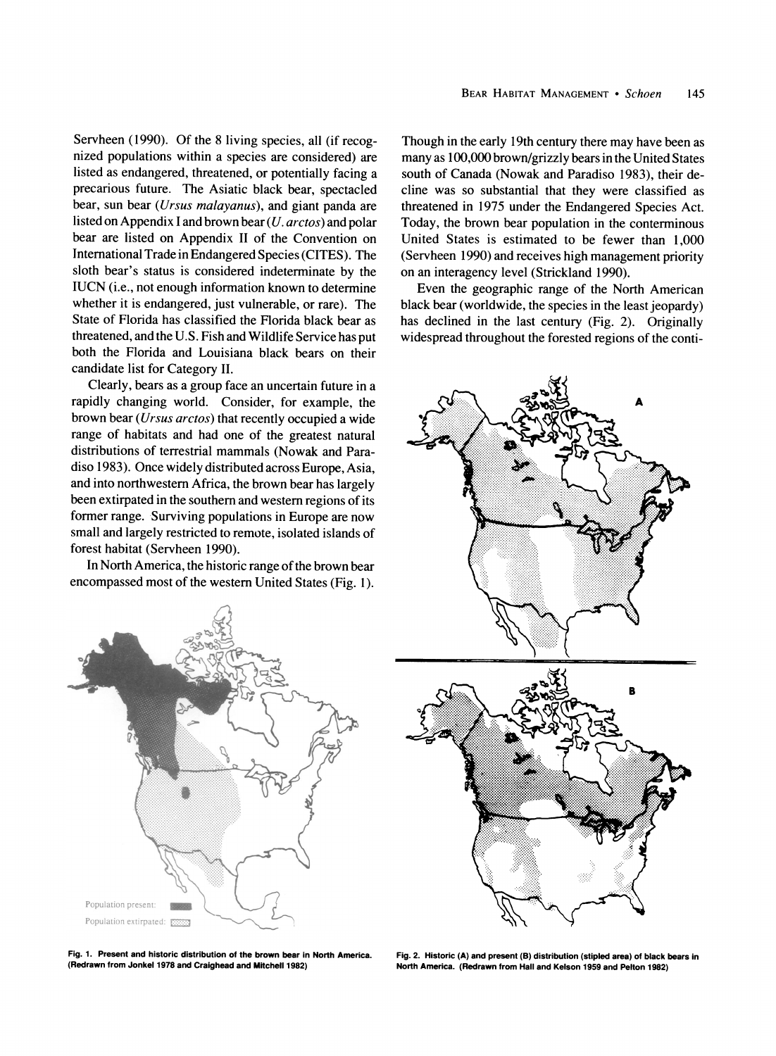**Servheen (1990). Of the 8 living species, all (if recognized populations within a species are considered) are listed as endangered, threatened, or potentially facing a precarious future. The Asiatic black bear, spectacled bear, sun bear (Ursus malayanus), and giant panda are listed on Appendix I and brown bear (U. arctos) and polar bear are listed on Appendix II of the Convention on International Trade in Endangered Species (CITES). The sloth bear's status is considered indeterminate by the IUCN (i.e., not enough information known to determine whether it is endangered, just vulnerable, or rare). The State of Florida has classified the Florida black bear as threatened, and the U.S. Fish and Wildlife Service has put both the Florida and Louisiana black bears on their candidate list for Category II.** 

**Clearly, bears as a group face an uncertain future in a rapidly changing world. Consider, for example, the brown bear (Ursus arctos) that recently occupied a wide range of habitats and had one of the greatest natural distributions of terrestrial mammals (Nowak and Paradiso 1983). Once widely distributed across Europe, Asia, and into northwestern Africa, the brown bear has largely been extirpated in the southern and western regions of its former range. Surviving populations in Europe are now small and largely restricted to remote, isolated islands of forest habitat (Servheen 1990).** 

**In North America, the historic range of the brown bear encompassed most of the western United States (Fig. 1).** 



**Fig. 1. Present and historic distribution of the brown bear in North America. (Redrawn from Jonkel 1978 and Craighead and Mitchell 1982)** 

**Though in the early 19th century there may have been as many as 100,000 brown/grizzly bears in the United States south of Canada (Nowak and Paradiso 1983), their decline was so substantial that they were classified as threatened in 1975 under the Endangered Species Act. Today, the brown bear population in the conterminous United States is estimated to be fewer than 1,000 (Servheen 1990) and receives high management priority on an interagency level (Strickland 1990).** 

**Even the geographic range of the North American black bear (worldwide, the species in the least jeopardy) has declined in the last century (Fig. 2). Originally widespread throughout the forested regions of the conti-**



**Fig. 2. Historic (A) and present (B) distribution (stipled area) of black bears in North America. (Redrawn from Hall and Kelson 1959 and Pelton 1982)**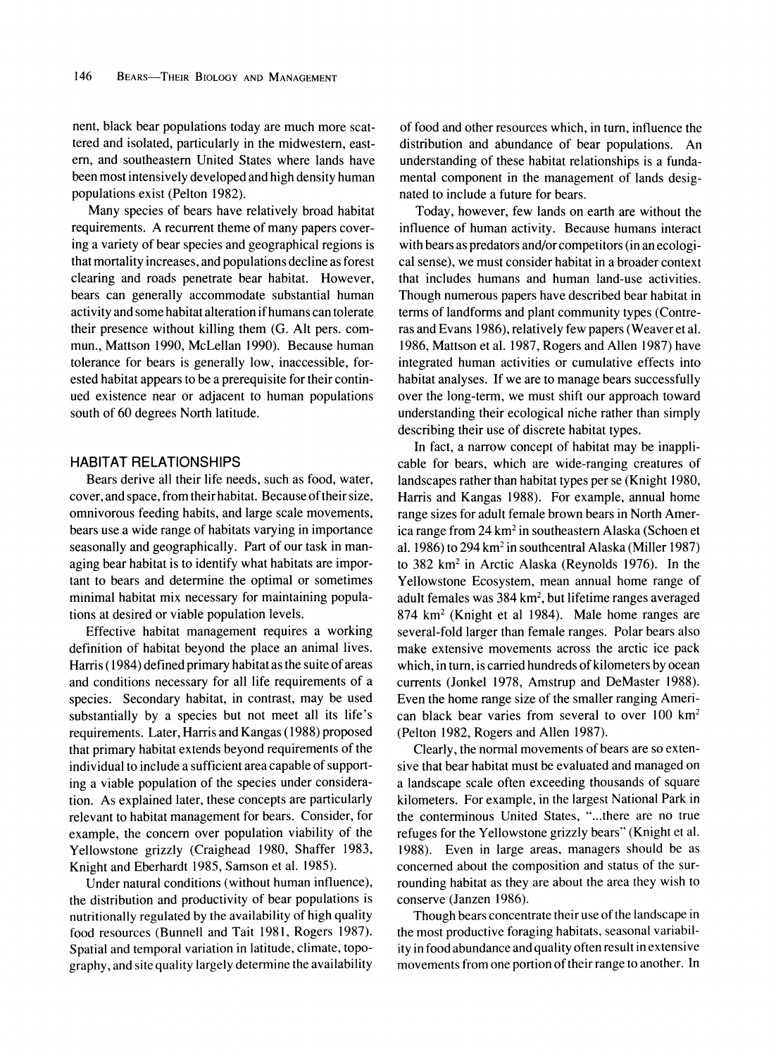**nent, black bear populations today are much more scattered and isolated, particularly in the midwestern, eastern, and southeastern United States where lands have been most intensively developed and high density human populations exist (Pelton 1982).** 

**Many species of bears have relatively broad habitat**  requirements. A recurrent theme of many papers cover**ing a variety of bear species and geographical regions is that mortality increases, and populations decline as forest clearing and roads penetrate bear habitat. However, bears can generally accommodate substantial human activity and some habitat alteration if humans can tolerate their presence without killing them (G. Alt pers. commun., Mattson 1990, McLellan 1990). Because human tolerance for bears is generally low, inaccessible, forested habitat appears to be a prerequisite for their continued existence near or adjacent to human populations south of 60 degrees North latitude.** 

#### **HABITAT RELATIONSHIPS**

**Bears derive all their life needs, such as food, water, cover, and space, from their habitat. Because of their size, omnivorous feeding habits, and large scale movements, bears use a wide range of habitats varying in importance seasonally and geographically. Part of our task in managing bear habitat is to identify what habitats are important to bears and determine the optimal or sometimes minimal habitat mix necessary for maintaining populations at desired or viable population levels.** 

**Effective habitat management requires a working definition of habitat beyond the place an animal lives. Harris (1984) defined primary habitat as the suite of areas and conditions necessary for all life requirements of a species. Secondary habitat, in contrast, may be used substantially by a species but not meet all its life's requirements. Later, Harris and Kangas (1988) proposed that primary habitat extends beyond requirements of the individual to include a sufficient area capable of supporting a viable population of the species under consideration. As explained later, these concepts are particularly relevant to habitat management for bears. Consider, for example, the concern over population viability of the Yellowstone grizzly (Craighead 1980, Shaffer 1983, Knight and Eberhardt 1985, Samson et al. 1985).** 

**Under natural conditions (without human influence), the distribution and productivity of bear populations is nutritionally regulated by the availability of high quality food resources (Bunnell and Tait 1981, Rogers 1987). Spatial and temporal variation in latitude, climate, topography, and site quality largely determine the availability** 

**of food and other resources which, in turn, influence the distribution and abundance of bear populations. An understanding of these habitat relationships is a fundamental component in the management of lands designated to include a future for bears.** 

**Today, however, few lands on earth are without the influence of human activity. Because humans interact with bears as predators and/or competitors (in an ecological sense), we must consider habitat in a broader context that includes humans and human land-use activities. Though numerous papers have described bear habitat in terms of landforms and plant community types (Contreras and Evans 1986), relatively few papers (Weaver et al. 1986, Mattson et al. 1987, Rogers and Allen 1987) have integrated human activities or cumulative effects into habitat analyses. If we are to manage bears successfully over the long-term, we must shift our approach toward understanding their ecological niche rather than simply describing their use of discrete habitat types.** 

**In fact, a narrow concept of habitat may be inapplicable for bears, which are wide-ranging creatures of landscapes rather than habitat types per se (Knight 1980, Harris and Kangas 1988). For example, annual home range sizes for adult female brown bears in North America range from 24 km2 in southeastern Alaska (Schoen et al. 1986) to 294 km2 in southcentral Alaska (Miller 1987) to 382 km2 in Arctic Alaska (Reynolds 1976). In the Yellowstone Ecosystem, mean annual home range of adult females was 384 km2, but lifetime ranges averaged 874 km2 (Knight et al 1984). Male home ranges are several-fold larger than female ranges. Polar bears also make extensive movements across the arctic ice pack which, in turn, is carried hundreds of kilometers by ocean currents (Jonkel 1978, Amstrup and DeMaster 1988). Even the home range size of the smaller ranging American black bear varies from several to over 100 km2 (Pelton 1982, Rogers and Allen 1987).** 

**Clearly, the normal movements of bears are so extensive that bear habitat must be evaluated and managed on a landscape scale often exceeding thousands of square kilometers. For example, in the largest National Park in the conterminous United States, "...there are no true refuges for the Yellowstone grizzly bears" (Knight et al. 1988). Even in large areas, managers should be as concerned about the composition and status of the surrounding habitat as they are about the area they wish to conserve (Janzen 1986).** 

**Though bears concentrate their use of the landscape in the most productive foraging habitats, seasonal variability in food abundance and quality often result in extensive movements from one portion of their range to another. In**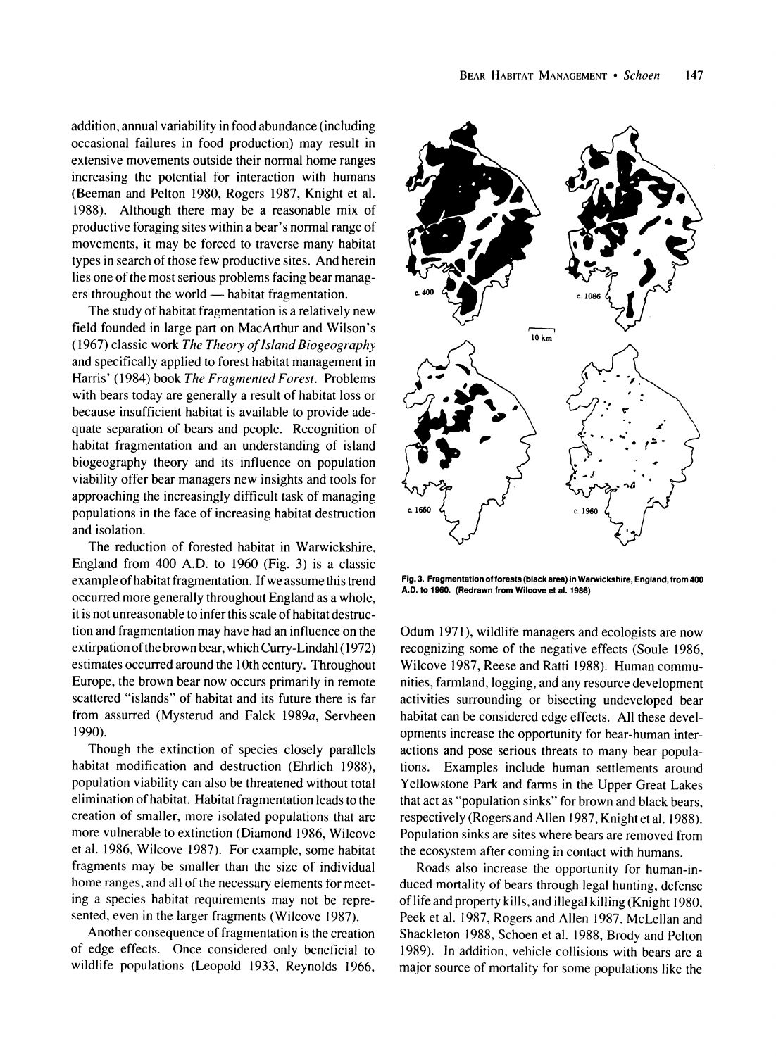**addition, annual variability in food abundance (including occasional failures in food production) may result in extensive movements outside their normal home ranges increasing the potential for interaction with humans (Beeman and Pelton 1980, Rogers 1987, Knight et al. 1988). Although there may be a reasonable mix of productive foraging sites within a bear's normal range of movements, it may be forced to traverse many habitat types in search of those few productive sites. And herein lies one of the most serious problems facing bear manag**ers throughout the world — habitat fragmentation.

**The study of habitat fragmentation is a relatively new field founded in large part on MacArthur and Wilson's (1967) classic work The Theory of Island Biogeography and specifically applied to forest habitat management in Harris' (1984) book The Fragmented Forest. Problems with bears today are generally a result of habitat loss or because insufficient habitat is available to provide adequate separation of bears and people. Recognition of habitat fragmentation and an understanding of island biogeography theory and its influence on population viability offer bear managers new insights and tools for approaching the increasingly difficult task of managing populations in the face of increasing habitat destruction and isolation.** 

**The reduction of forested habitat in Warwickshire, England from 400 A.D. to 1960 (Fig. 3) is a classic example of habitat fragmentation. If we assume this trend occurred more generally throughout England as a whole, it is not unreasonable to infer this scale of habitat destruction and fragmentation may have had an influence on the extirpation of the brown bear, which Curry-Lindahl (1972) estimates occurred around the 10th century. Throughout Europe, the brown bear now occurs primarily in remote scattered "islands" of habitat and its future there is far from assurred (Mysterud and Falck 1989a, Servheen 1990).** 

**Though the extinction of species closely parallels habitat modification and destruction (Ehrlich 1988), population viability can also be threatened without total elimination of habitat. Habitat fragmentation leads to the creation of smaller, more isolated populations that are more vulnerable to extinction (Diamond 1986, Wilcove et al. 1986, Wilcove 1987). For example, some habitat fragments may be smaller than the size of individual home ranges, and all of the necessary elements for meeting a species habitat requirements may not be represented, even in the larger fragments (Wilcove 1987).** 

**Another consequence of fragmentation is the creation of edge effects. Once considered only beneficial to wildlife populations (Leopold 1933, Reynolds 1966,** 



**Fig. 3. Fragmentation of forests (black area) in Warwickshire, England, from 400 A.D. to 1960. (Redrawn from Wilcove et al. 1986)** 

**Odum 1971), wildlife managers and ecologists are now recognizing some of the negative effects (Soule 1986, Wilcove 1987, Reese and Ratti 1988). Human communities, farmland, logging, and any resource development activities surrounding or bisecting undeveloped bear habitat can be considered edge effects. All these developments increase the opportunity for bear-human interactions and pose serious threats to many bear populations. Examples include human settlements around Yellowstone Park and farms in the Upper Great Lakes that act as "population sinks" for brown and black bears, respectively (Rogers and Allen 1987, Knight et al. 1988). Population sinks are sites where bears are removed from the ecosystem after coming in contact with humans.** 

**Roads also increase the opportunity for human-induced mortality of bears through legal hunting, defense of life and property kills, and illegal killing (Knight 1980, Peek et al. 1987, Rogers and Allen 1987, McLellan and Shackleton 1988, Schoen et al. 1988, Brody and Pelton 1989). In addition, vehicle collisions with bears are a major source of mortality for some populations like the**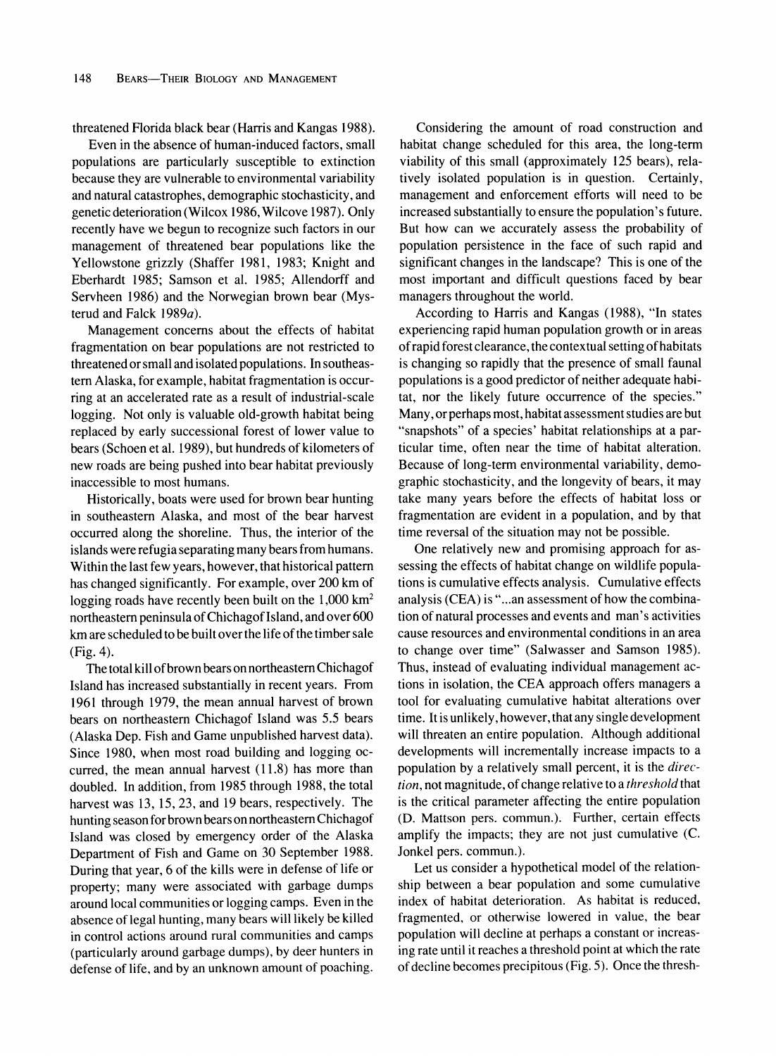**threatened Florida black bear (Harris and Kangas 1988).** 

**Even in the absence of human-induced factors, small populations are particularly susceptible to extinction because they are vulnerable to environmental variability and natural catastrophes, demographic stochasticity, and genetic deterioration (Wilcox 1986, Wilcove 1987). Only recently have we begun to recognize such factors in our management of threatened bear populations like the Yellowstone grizzly (Shaffer 1981, 1983; Knight and Eberhardt 1985; Samson et al. 1985; Allendorff and Servheen 1986) and the Norwegian brown bear (Mysterud and Falck 1989a).** 

**Management concerns about the effects of habitat fragmentation on bear populations are not restricted to threatened or small and isolated populations. In southeastern Alaska, for example, habitat fragmentation is occurring at an accelerated rate as a result of industrial-scale logging. Not only is valuable old-growth habitat being replaced by early successional forest of lower value to bears (Schoen et al. 1989), but hundreds of kilometers of new roads are being pushed into bear habitat previously inaccessible to most humans.** 

**Historically, boats were used for brown bear hunting in southeastern Alaska, and most of the bear harvest occurred along the shoreline. Thus, the interior of the islands were refugia separating many bears from humans. Within the last few years, however, that historical pattern has changed significantly. For example, over 200 km of logging roads have recently been built on the 1,000 km2 northeastern peninsula of Chichagof Island, and over 600 km are scheduled to be built over the life of the timber sale (Fig. 4).** 

**The total kill of brown bears on northeastern Chichagof Island has increased substantially in recent years. From 1961 through 1979, the mean annual harvest of brown bears on northeastern Chichagof Island was 5.5 bears (Alaska Dep. Fish and Game unpublished harvest data). Since 1980, when most road building and logging occurred, the mean annual harvest (11.8) has more than doubled. In addition, from 1985 through 1988, the total harvest was 13, 15, 23, and 19 bears, respectively. The hunting season for brown bears on northeastern Chichagof Island was closed by emergency order of the Alaska Department of Fish and Game on 30 September 1988. During that year, 6 of the kills were in defense of life or property; many were associated with garbage dumps around local communities or logging camps. Even in the absence of legal hunting, many bears will likely be killed in control actions around rural communities and camps (particularly around garbage dumps), by deer hunters in defense of life, and by an unknown amount of poaching.** 

**Considering the amount of road construction and habitat change scheduled for this area, the long-term viability of this small (approximately 125 bears), relatively isolated population is in question. Certainly, management and enforcement efforts will need to be increased substantially to ensure the population's future. But how can we accurately assess the probability of population persistence in the face of such rapid and significant changes in the landscape? This is one of the most important and difficult questions faced by bear managers throughout the world.** 

**According to Harris and Kangas (1988), "In states experiencing rapid human population growth or in areas of rapid forest clearance, the contextual setting of habitats is changing so rapidly that the presence of small faunal populations is a good predictor of neither adequate habitat, nor the likely future occurrence of the species." Many, or perhaps most, habitat assessment studies are but "snapshots" of a species' habitat relationships at a particular time, often near the time of habitat alteration. Because of long-term environmental variability, demographic stochasticity, and the longevity of bears, it may take many years before the effects of habitat loss or fragmentation are evident in a population, and by that time reversal of the situation may not be possible.** 

**One relatively new and promising approach for assessing the effects of habitat change on wildlife populations is cumulative effects analysis. Cumulative effects analysis (CEA) is "...an assessment of how the combination of natural processes and events and man's activities cause resources and environmental conditions in an area to change over time" (Salwasser and Samson 1985). Thus, instead of evaluating individual management actions in isolation, the CEA approach offers managers a tool for evaluating cumulative habitat alterations over time. It is unlikely, however, that any single development will threaten an entire population. Although additional developments will incrementally increase impacts to a population by a relatively small percent, it is the direction, not magnitude, of change relative to a threshold that is the critical parameter affecting the entire population (D. Mattson pers. commun.). Further, certain effects amplify the impacts; they are not just cumulative (C. Jonkel pers. commun.).** 

**Let us consider a hypothetical model of the relationship between a bear population and some cumulative index of habitat deterioration. As habitat is reduced, fragmented, or otherwise lowered in value, the bear population will decline at perhaps a constant or increasing rate until it reaches a threshold point at which the rate of decline becomes precipitous (Fig. 5). Once the thresh-**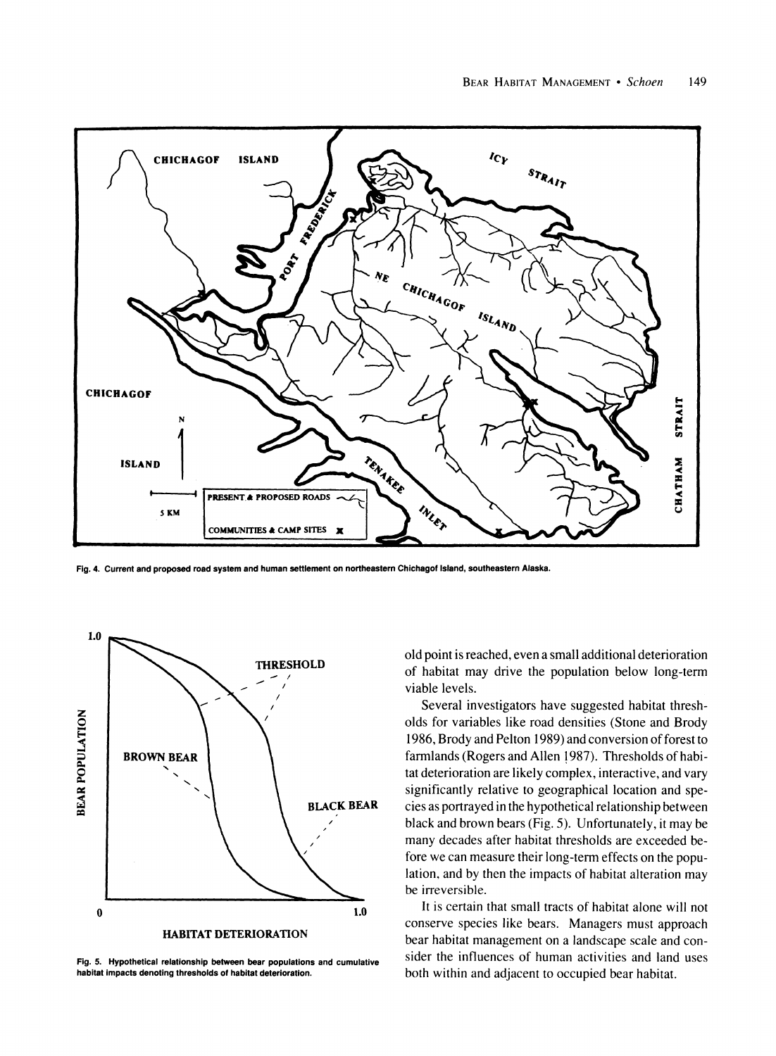

**Fig. 4. Current and proposed road system and human settlement on northeastern Chichagof Island, southeastern Alaska.** 



**Fig. 5. Hypothetical relationship between bear populations and cumulative habitat impacts denoting thresholds of habitat deterioration.** 

**old point is reached, even a small additional deterioration of habitat may drive the population below long-term viable levels.** 

**Several investigators have suggested habitat thresholds for variables like road densities (Stone and Brody 1986, Brody and Pelton 1989) and conversion of forest to farmlands (Rogers and Allen 1987). Thresholds of habitat deterioration are likely complex, interactive, and vary significantly relative to geographical location and species as portrayed in the hypothetical relationship between black and brown bears (Fig. 5). Unfortunately, it may be many decades after habitat thresholds are exceeded before we can measure their long-term effects on the population, and by then the impacts of habitat alteration may be irreversible.** 

**It is certain that small tracts of habitat alone will not conserve species like bears. Managers must approach bear habitat management on a landscape scale and consider the influences of human activities and land uses both within and adjacent to occupied bear habitat.**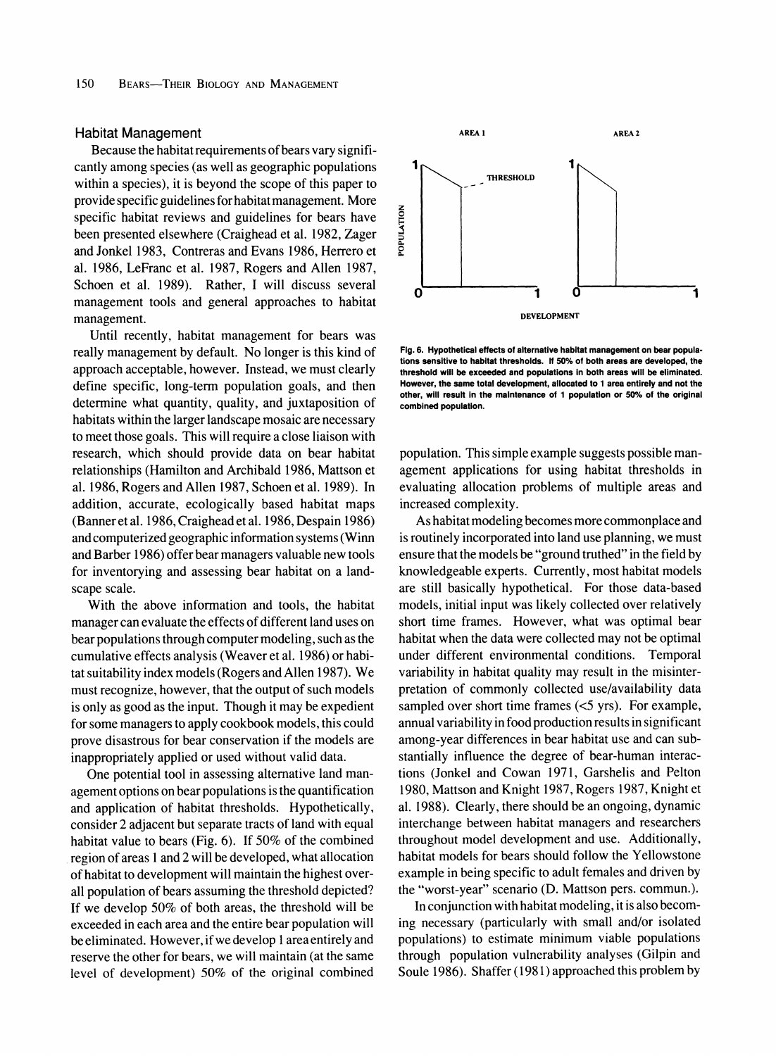#### **Habitat Management**

**Because the habitat requirements of bears vary significantly among species (as well as geographic populations within a species), it is beyond the scope of this paper to provide specific guidelines for habitat management. More specific habitat reviews and guidelines for bears have been presented elsewhere (Craighead et al. 1982, Zager and Jonkel 1983, Contreras and Evans 1986, Herrero et al. 1986, LeFranc et al. 1987, Rogers and Allen 1987, Schoen et al. 1989). Rather, I will discuss several management tools and general approaches to habitat management.** 

**Until recently, habitat management for bears was really management by default. No longer is this kind of approach acceptable, however. Instead, we must clearly define specific, long-term population goals, and then determine what quantity, quality, and juxtaposition of habitats within the larger landscape mosaic are necessary to meet those goals. This will require a close liaison with research, which should provide data on bear habitat relationships (Hamilton and Archibald 1986, Mattson et al. 1986, Rogers and Allen 1987, Schoen et al. 1989). In addition, accurate, ecologically based habitat maps (Banner et al. 1986, Craighead et al. 1986, Despain 1986) and computerized geographic information systems (Winn and Barber 1986) offer bear managers valuable new tools for inventorying and assessing bear habitat on a landscape scale.** 

**With the above information and tools, the habitat manager can evaluate the effects of different land uses on bear populations through computer modeling, such as the cumulative effects analysis (Weaver et al. 1986) or habitat suitability index models (Rogers and Allen 1987). We must recognize, however, that the output of such models is only as good as the input. Though it may be expedient for some managers to apply cookbook models, this could prove disastrous for bear conservation if the models are inappropriately applied or used without valid data.** 

**One potential tool in assessing alternative land management options on bear populations is the quantification and application of habitat thresholds. Hypothetically, consider 2 adjacent but separate tracts of land with equal habitat value to bears (Fig. 6). If 50% of the combined region of areas 1 and 2 will be developed, what allocation of habitat to development will maintain the highest overall population of bears assuming the threshold depicted? If we develop 50% of both areas, the threshold will be exceeded in each area and the entire bear population will be eliminated. However, if we develop 1 area entirely and reserve the other for bears, we will maintain (at the same level of development) 50% of the original combined** 



**Fig. 6. Hypothetical effects of alternative habitat management on bear populations sensitive to habitat thresholds. If 50% of both areas are developed, the threshold will be exceeded and populations in both areas will be eliminated. However, the same total development, allocated to 1 area entirely and not the other, will result in the maintenance of 1 population or 50% of the original combined population.** 

**population. This simple example suggests possible management applications for using habitat thresholds in evaluating allocation problems of multiple areas and increased complexity.** 

**As habitat modeling becomes more commonplace and is routinely incorporated into land use planning, we must ensure that the models be "ground truthed" in the field by knowledgeable experts. Currently, most habitat models are still basically hypothetical. For those data-based models, initial input was likely collected over relatively short time frames. However, what was optimal bear habitat when the data were collected may not be optimal under different environmental conditions. Temporal variability in habitat quality may result in the misinterpretation of commonly collected use/availability data sampled over short time frames (<5 yrs). For example, annual variability in food production results in significant among-year differences in bear habitat use and can substantially influence the degree of bear-human interactions (Jonkel and Cowan 1971, Garshelis and Pelton 1980, Mattson and Knight 1987, Rogers 1987, Knight et al. 1988). Clearly, there should be an ongoing, dynamic interchange between habitat managers and researchers throughout model development and use. Additionally, habitat models for bears should follow the Yellowstone example in being specific to adult females and driven by the "worst-year" scenario (D. Mattson pers. commun.).** 

**In conjunction with habitat modeling, it is also becoming necessary (particularly with small and/or isolated populations) to estimate minimum viable populations through population vulnerability analyses (Gilpin and Soule 1986). Shaffer (1981) approached this problem by**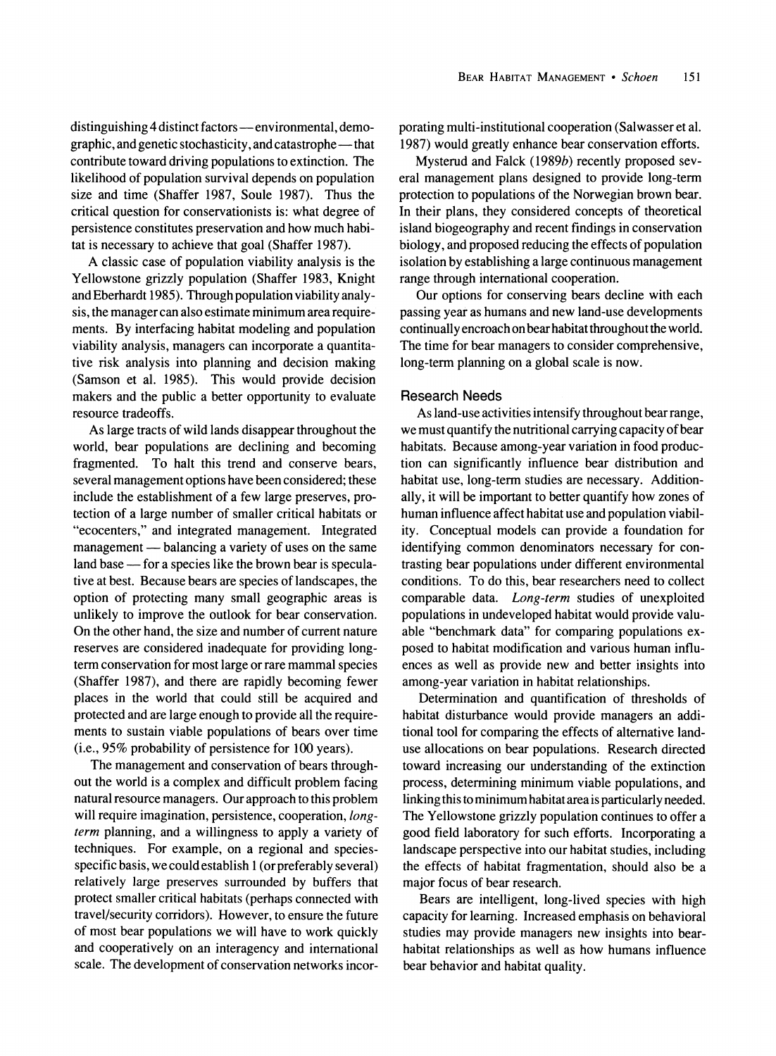distinguishing 4 distinct factors - environmental, demo**graphic, and genetic stochasticity, and catastrophe - that contribute toward driving populations to extinction. The likelihood of population survival depends on population size and time (Shaffer 1987, Soule 1987). Thus the critical question for conservationists is: what degree of persistence constitutes preservation and how much habitat is necessary to achieve that goal (Shaffer 1987).** 

**A classic case of population viability analysis is the Yellowstone grizzly population (Shaffer 1983, Knight and Eberhardt 1985). Through population viability analysis, the manager can also estimate minimum area requirements. By interfacing habitat modeling and population viability analysis, managers can incorporate a quantitative risk analysis into planning and decision making (Samson et al. 1985). This would provide decision makers and the public a better opportunity to evaluate resource tradeoffs.** 

**As large tracts of wild lands disappear throughout the world, bear populations are declining and becoming fragmented. To halt this trend and conserve bears, several management options have been considered; these include the establishment of a few large preserves, protection of a large number of smaller critical habitats or "ecocenters," and integrated management. Integrated**  management — balancing a variety of uses on the same land base — for a species like the brown bear is specula**tive at best. Because bears are species of landscapes, the option of protecting many small geographic areas is unlikely to improve the outlook for bear conservation. On the other hand, the size and number of current nature reserves are considered inadequate for providing longterm conservation for most large or rare mammal species (Shaffer 1987), and there are rapidly becoming fewer places in the world that could still be acquired and protected and are large enough to provide all the requirements to sustain viable populations of bears over time (i.e., 95% probability of persistence for 100 years).** 

**The management and conservation of bears throughout the world is a complex and difficult problem facing natural resource managers. Our approach to this problem will require imagination, persistence, cooperation, longterm planning, and a willingness to apply a variety of techniques. For example, on a regional and speciesspecific basis, we could establish 1 (or preferably several) relatively large preserves surrounded by buffers that protect smaller critical habitats (perhaps connected with travel/security corridors). However, to ensure the future of most bear populations we will have to work quickly and cooperatively on an interagency and international scale. The development of conservation networks incor-** **porating multi-institutional cooperation (Salwasser et al. 1987) would greatly enhance bear conservation efforts.** 

**Mysterud and Falck (1989b) recently proposed several management plans designed to provide long-term protection to populations of the Norwegian brown bear. In their plans, they considered concepts of theoretical island biogeography and recent findings in conservation biology, and proposed reducing the effects of population isolation by establishing a large continuous management range through international cooperation.** 

**Our options for conserving bears decline with each passing year as humans and new land-use developments continually encroach on bear habitat throughout the world. The time for bear managers to consider comprehensive, long-term planning on a global scale is now.** 

#### **Research Needs**

**As land-use activities intensify throughout bear range, we must quantify the nutritional carrying capacity of bear habitats. Because among-year variation in food production can significantly influence bear distribution and habitat use, long-term studies are necessary. Additionally, it will be important to better quantify how zones of human influence affect habitat use and population viability. Conceptual models can provide a foundation for identifying common denominators necessary for contrasting bear populations under different environmental conditions. To do this, bear researchers need to collect comparable data. Long-term studies of unexploited populations in undeveloped habitat would provide valuable "benchmark data" for comparing populations exposed to habitat modification and various human influences as well as provide new and better insights into among-year variation in habitat relationships.** 

**Determination and quantification of thresholds of habitat disturbance would provide managers an additional tool for comparing the effects of alternative landuse allocations on bear populations. Research directed toward increasing our understanding of the extinction process, determining minimum viable populations, and linking this to minimum habitat area is particularly needed. The Yellowstone grizzly population continues to offer a good field laboratory for such efforts. Incorporating a landscape perspective into our habitat studies, including the effects of habitat fragmentation, should also be a major focus of bear research.** 

**Bears are intelligent, long-lived species with high capacity for learning. Increased emphasis on behavioral studies may provide managers new insights into bearhabitat relationships as well as how humans influence bear behavior and habitat quality.**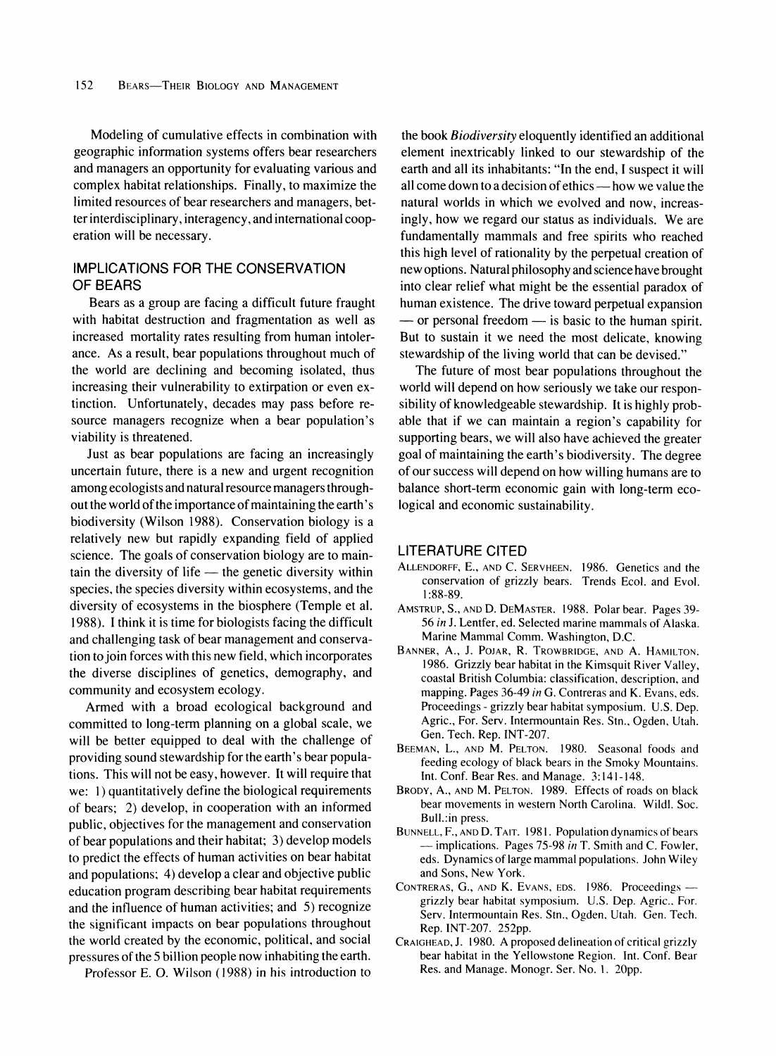**Modeling of cumulative effects in combination with geographic information systems offers bear researchers and managers an opportunity for evaluating various and complex habitat relationships. Finally, to maximize the limited resources of bear researchers and managers, better interdisciplinary, interagency, and international cooperation will be necessary.** 

## **IMPLICATIONS FOR THE CONSERVATION OF BEARS**

**Bears as a group are facing a difficult future fraught with habitat destruction and fragmentation as well as increased mortality rates resulting from human intolerance. As a result, bear populations throughout much of the world are declining and becoming isolated, thus increasing their vulnerability to extirpation or even extinction. Unfortunately, decades may pass before resource managers recognize when a bear population's viability is threatened.** 

**Just as bear populations are facing an increasingly uncertain future, there is a new and urgent recognition among ecologists and natural resource managers throughout the world of the importance of maintaining the earth's biodiversity (Wilson 1988). Conservation biology is a relatively new but rapidly expanding field of applied science. The goals of conservation biology are to main**tain the diversity of life — the genetic diversity within **species, the species diversity within ecosystems, and the diversity of ecosystems in the biosphere (Temple et al. 1988). I think it is time for biologists facing the difficult and challenging task of bear management and conservation to join forces with this new field, which incorporates the diverse disciplines of genetics, demography, and community and ecosystem ecology.** 

**Armed with a broad ecological background and committed to long-term planning on a global scale, we will be better equipped to deal with the challenge of providing sound stewardship for the earth's bear populations. This will not be easy, however. It will require that we: 1) quantitatively define the biological requirements of bears; 2) develop, in cooperation with an informed public, objectives for the management and conservation of bear populations and their habitat; 3) develop models to predict the effects of human activities on bear habitat and populations; 4) develop a clear and objective public education program describing bear habitat requirements and the influence of human activities; and 5) recognize the significant impacts on bear populations throughout the world created by the economic, political, and social pressures of the 5 billion people now inhabiting the earth.** 

**Professor E. 0. Wilson (1988) in his introduction to** 

**the book Biodiversity eloquently identified an additional element inextricably linked to our stewardship of the earth and all its inhabitants: "In the end, I suspect it will all come down to a decision of ethics - how we value the natural worlds in which we evolved and now, increasingly, how we regard our status as individuals. We are fundamentally mammals and free spirits who reached this high level of rationality by the perpetual creation of new options. Natural philosophy and science have brought into clear relief what might be the essential paradox of human existence. The drive toward perpetual expansion**   $-$  or personal freedom  $-$  is basic to the human spirit. **But to sustain it we need the most delicate, knowing stewardship of the living world that can be devised."** 

**The future of most bear populations throughout the world will depend on how seriously we take our responsibility of knowledgeable stewardship. It is highly probable that if we can maintain a region's capability for supporting bears, we will also have achieved the greater goal of maintaining the earth's biodiversity. The degree of our success will depend on how willing humans are to balance short-term economic gain with long-term ecological and economic sustainability.** 

### **LITERATURE CITED**

- **ALLENDORFF, E., AND C. SERVHEEN. 1986. Genetics and the conservation of grizzly bears. Trends Ecol. and Evol. 1:88-89.**
- **AMSTRUP, S., AND D. DEMASTER. 1988. Polar bear. Pages 39- 56 in J. Lentfer, ed. Selected marine mammals of Alaska. Marine Mammal Comm. Washington, D.C.**
- **BANNER, A., J. POJAR, R. TROWBRIDGE, AND A. HAMILTON. 1986. Grizzly bear habitat in the Kimsquit River Valley, coastal British Columbia: classification, description, and mapping. Pages 36-49 in G. Contreras and K. Evans, eds. Proceedings - grizzly bear habitat symposium. U.S. Dep. Agric., For. Serv. Intermountain Res. Stn., Ogden, Utah. Gen. Tech. Rep. INT-207.**
- **BEEMAN, L., AND M. PELTON. 1980. Seasonal foods and feeding ecology of black bears in the Smoky Mountains. Int. Conf. Bear Res. and Manage. 3:141-148.**
- **BRODY, A., AND M. PELTON. 1989. Effects of roads on black bear movements in western North Carolina. Wildl. Soc. Bull.:in press.**
- **BUNNELL, F., AND D. TAIT. 1981. Population dynamics of bears -implications. Pages 75-98 in T. Smith and C. Fowler, eds. Dynamics of large mammal populations. John Wiley and Sons, New York.**
- **CONTRERAS, G., AND K. EVANS, EDS. 1986. Proceedings grizzly bear habitat symposium. U.S. Dep. Agric.. For. Serv. Intermountain Res. Stn., Ogden. Utah. Gen. Tech. Rep. INT-207. 252pp.**
- **CRAIGHEAD, J. 1980. A proposed delineation of critical grizzly bear habitat in the Yellowstone Region. Int. Conf. Bear Res. and Manage. Monogr. Ser. No. 1. 20pp.**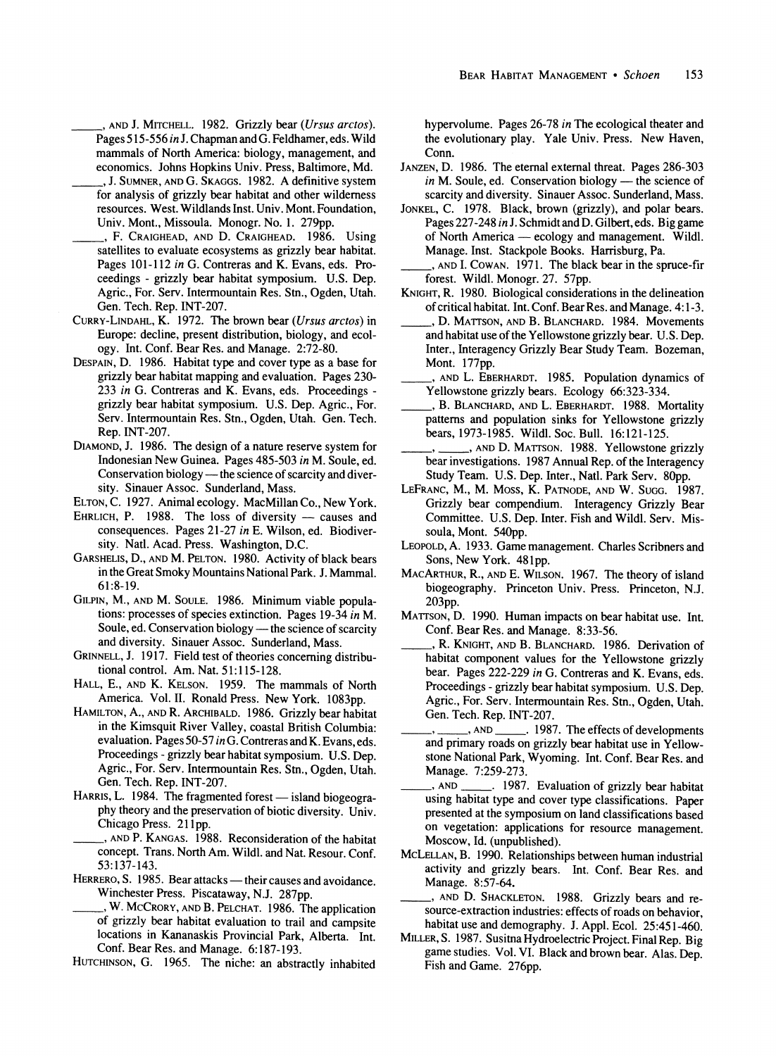**\_ , AND J. MITCHELL. 1982. Grizzly bear (Ursus arctos). Pages 515-556 in J. Chapman and G. Feldhamer, eds. Wild mammals of North America: biology, management, and economics. Johns Hopkins Univ. Press, Baltimore, Md.** 

- **\_ , J. SUMNER, AND G. SKAGGS. 1982. A definitive system for analysis of grizzly bear habitat and other wilderness resources. West. Wildlands Inst. Univ. Mont. Foundation, Univ. Mont., Missoula. Monogr. No. 1. 279pp.**
- **, F. CRAIGHEAD, AND D. CRAIGHEAD. 1986. Using satellites to evaluate ecosystems as grizzly bear habitat. Pages 101-112 in G. Contreras and K. Evans, eds. Proceedings - grizzly bear habitat symposium. U.S. Dep. Agric., For. Serv. Intermountain Res. Stn., Ogden, Utah. Gen. Tech. Rep. INT-207.**
- **CURRY-LINDAHL, K. 1972. The brown bear (Ursus arctos) in Europe: decline, present distribution, biology, and ecology. Int. Conf. Bear Res. and Manage. 2:72-80.**
- **DESPAIN, D. 1986. Habitat type and cover type as a base for grizzly bear habitat mapping and evaluation. Pages 230- 233 in G. Contreras and K. Evans, eds. Proceedings grizzly bear habitat symposium. U.S. Dep. Agric., For. Serv. Intermountain Res. Stn., Ogden, Utah. Gen. Tech. Rep. INT-207.**
- **DIAMOND, J. 1986. The design of a nature reserve system for Indonesian New Guinea. Pages 485-503 in M. Soule, ed.**  Conservation biology — the science of scarcity and diver**sity. Sinauer Assoc. Sunderland, Mass.**
- **ELTON, C. 1927. Animal ecology. MacMillan Co., New York.**
- EHRLICH, P. 1988. The loss of diversity causes and **consequences. Pages 21-27 in E. Wilson, ed. Biodiversity. Natl. Acad. Press. Washington, D.C.**
- **GARSHELIS, D., AND M. PELTON. 1980. Activity of black bears in the Great Smoky Mountains National Park. J. Mammal. 61:8-19.**
- **GILPIN, M., AND M. SOULE. 1986. Minimum viable populations: processes of species extinction. Pages 19-34 in M.**  Soule, ed. Conservation biology - the science of scarcity **and diversity. Sinauer Assoc. Sunderland, Mass.**
- **GRINNELL, J. 1917. Field test of theories concerning distributional control. Am. Nat. 51:115-128.**
- **HALL, E., AND K. KELSON. 1959. The mammals of North America. Vol. II. Ronald Press. New York. 1083pp.**
- **HAMILTON, A., AND R. ARCHIBALD. 1986. Grizzly bear habitat in the Kimsquit River Valley, coastal British Columbia: evaluation. Pages 50-57 in G. Contreras and K. Evans, eds. Proceedings - grizzly bear habitat symposium. U.S. Dep. Agric., For. Serv. Intermountain Res. Stn., Ogden, Utah. Gen. Tech. Rep. INT-207.**
- HARRIS, L. 1984. The fragmented forest island biogeogra**phy theory and the preservation of biotic diversity. Univ. Chicago Press. 21 pp.**
- **, AND P. KANGAS. 1988. Reconsideration of the habitat concept. Trans. North Am. Wildl. and Nat. Resour. Conf. 53:137-143.**
- HERRERO, S. 1985. Bear attacks their causes and avoidance. **Winchester Press. Piscataway, N.J. 287pp.**
- **, W. MCCRORY, AND B. PELCHAT. 1986. The application of grizzly bear habitat evaluation to trail and campsite locations in Kananaskis Provincial Park, Alberta. Int. Conf. Bear Res. and Manage. 6:187-193.**
- **HUTCHINSON, G. 1965. The niche: an abstractly inhabited**

**hypervolume. Pages 26-78 in The ecological theater and the evolutionary play. Yale Univ. Press. New Haven, Conn.** 

- **JANZEN, D. 1986. The eternal external threat. Pages 286-303**  in M. Soule, ed. Conservation biology — the science of **scarcity and diversity. Sinauer Assoc. Sunderland, Mass.**
- **JONKEL, C. 1978. Black, brown (grizzly), and polar bears. Pages 227-248 in J. Schmidt and D. Gilbert, eds. Big game**  of North America — ecology and management. Wildl. **Manage. Inst. Stackpole Books. Harrisburg, Pa.**
- **\_ , AND I. COWAN. 1971. The black bear in the spruce-fir forest. Wildl. Monogr. 27. 57pp.**
- **KNIGHT, R. 1980. Biological considerations in the delineation of critical habitat. Int. Conf. Bear Res. and Manage. 4:1-3.**
- D. MATTSON, AND B. BLANCHARD. 1984. Movements **and habitat use of the Yellowstone grizzly bear. U.S. Dep. Inter., Interagency Grizzly Bear Study Team. Bozeman, Mont. 177pp.**
- **, AND L. EBERHARDT. 1985. Population dynamics of Yellowstone grizzly bears. Ecology 66:323-334.**
- **, B. BLANCHARD, AND L. EBERHARDT. 1988. Mortality patterns and population sinks for Yellowstone grizzly bears, 1973-1985. Wildl. Soc. Bull. 16:121-125.**
- **, ,AND D. MATTSON. 1988. Yellowstone grizzly bear investigations. 1987 Annual Rep. of the Interagency Study Team. U.S. Dep. Inter., Natl. Park Serv. 80pp.**
- **LEFRANC, M., M. Moss, K. PATNODE, AND W. SUGG. 1987. Grizzly bear compendium. Interagency Grizzly Bear Committee. U.S. Dep. Inter. Fish and Wildl. Serv. Missoula, Mont. 540pp.**
- **LEOPOLD, A. 1933. Game management. Charles Scribners and Sons, New York. 481pp.**
- **MACARTHUR, R., AND E. WILSON. 1967. The theory of island biogeography. Princeton Univ. Press. Princeton, N.J. 203pp.**
- **MATTSON, D. 1990. Human impacts on bear habitat use. Int. Conf. Bear Res. and Manage. 8:33-56.**
- **, R. KNIGHT, AND B. BLANCHARD. 1986. Derivation of habitat component values for the Yellowstone grizzly bear. Pages 222-229 in G. Contreras and K. Evans, eds. Proceedings - grizzly bear habitat symposium. U.S. Dep. Agric., For. Serv. Intermountain Res. Stn., Ogden, Utah.**  Gen. Tech. Rep. INT-207.<br>
<br> **1987** (1987)
- **, ,AND . 1987. The effects of developments and primary roads on grizzly bear habitat use in Yellowstone National Park, Wyoming. Int. Conf. Bear Res. and Manage.** 7:259-273.<br> **AND** . 1987.
- **, AND . 1987. Evaluation of grizzly bear habitat using habitat type and cover type classifications. Paper presented at the symposium on land classifications based on vegetation: applications for resource management. Moscow, Id. (unpublished).**
- **MCLELLAN, B. 1990. Relationships between human industrial activity and grizzly bears. Int. Conf. Bear Res. and Manage. 8:57-64.**
- **, AND D. SHACKLETON. 1988. Grizzly bears and resource-extraction industries: effects of roads on behavior, habitat use and demography. J. Appl. Ecol. 25:451-460.**
- **MILLER, S. 1987. Susitna Hydroelectric Project. Final Rep. Big game studies. Vol. VI. Black and brown bear. Alas. Dep. Fish and Game. 276pp.**